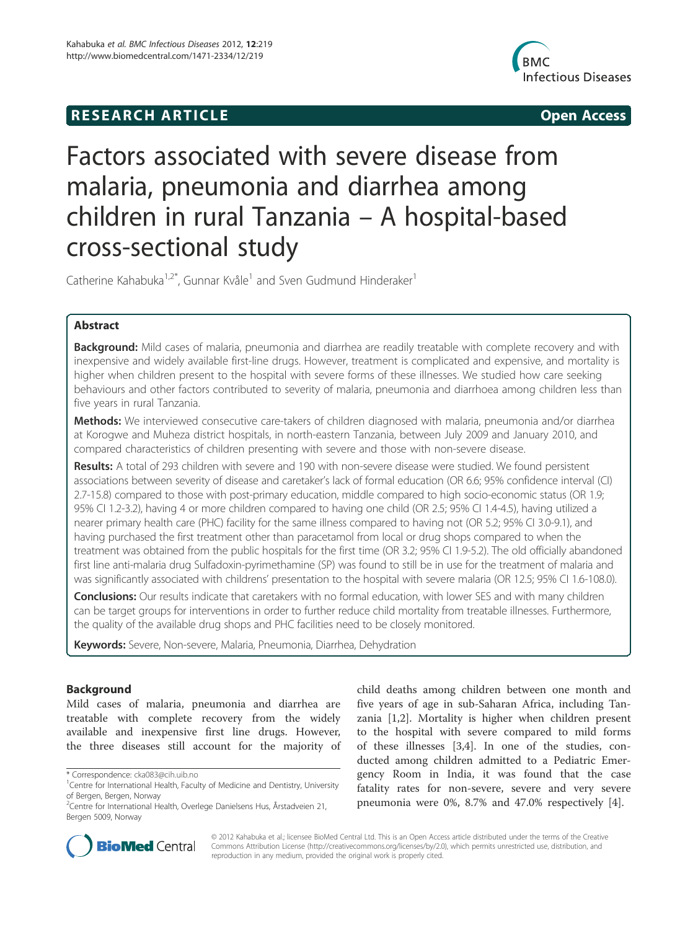# **RESEARCH ARTICLE Example 2014 12:30 THE Open Access**



# Factors associated with severe disease from malaria, pneumonia and diarrhea among children in rural Tanzania – A hospital-based cross-sectional study

Catherine Kahabuka<sup>1,2\*</sup>, Gunnar Kvåle<sup>1</sup> and Sven Gudmund Hinderaker<sup>1</sup>

# Abstract

Background: Mild cases of malaria, pneumonia and diarrhea are readily treatable with complete recovery and with inexpensive and widely available first-line drugs. However, treatment is complicated and expensive, and mortality is higher when children present to the hospital with severe forms of these illnesses. We studied how care seeking behaviours and other factors contributed to severity of malaria, pneumonia and diarrhoea among children less than five years in rural Tanzania.

Methods: We interviewed consecutive care-takers of children diagnosed with malaria, pneumonia and/or diarrhea at Korogwe and Muheza district hospitals, in north-eastern Tanzania, between July 2009 and January 2010, and compared characteristics of children presenting with severe and those with non-severe disease.

Results: A total of 293 children with severe and 190 with non-severe disease were studied. We found persistent associations between severity of disease and caretaker's lack of formal education (OR 6.6; 95% confidence interval (CI) 2.7-15.8) compared to those with post-primary education, middle compared to high socio-economic status (OR 1.9; 95% CI 1.2-3.2), having 4 or more children compared to having one child (OR 2.5; 95% CI 1.4-4.5), having utilized a nearer primary health care (PHC) facility for the same illness compared to having not (OR 5.2; 95% CI 3.0-9.1), and having purchased the first treatment other than paracetamol from local or drug shops compared to when the treatment was obtained from the public hospitals for the first time (OR 3.2; 95% CI 1.9-5.2). The old officially abandoned first line anti-malaria drug Sulfadoxin-pyrimethamine (SP) was found to still be in use for the treatment of malaria and was significantly associated with childrens' presentation to the hospital with severe malaria (OR 12.5; 95% CI 1.6-108.0).

Conclusions: Our results indicate that caretakers with no formal education, with lower SES and with many children can be target groups for interventions in order to further reduce child mortality from treatable illnesses. Furthermore, the quality of the available drug shops and PHC facilities need to be closely monitored.

Keywords: Severe, Non-severe, Malaria, Pneumonia, Diarrhea, Dehydration

# Background

Mild cases of malaria, pneumonia and diarrhea are treatable with complete recovery from the widely available and inexpensive first line drugs. However, the three diseases still account for the majority of

\* Correspondence: cka083@cih.uib.no <sup>1</sup>

child deaths among children between one month and five years of age in sub-Saharan Africa, including Tanzania [1,2]. Mortality is higher when children present to the hospital with severe compared to mild forms of these illnesses [3,4]. In one of the studies, conducted among children admitted to a Pediatric Emergency Room in India, it was found that the case fatality rates for non-severe, severe and very severe pneumonia were 0%, 8.7% and 47.0% respectively [4].



© 2012 Kahabuka et al.; licensee BioMed Central Ltd. This is an Open Access article distributed under the terms of the Creative Commons Attribution License (http://creativecommons.org/licenses/by/2.0), which permits unrestricted use, distribution, and reproduction in any medium, provided the original work is properly cited.

Centre for International Health, Faculty of Medicine and Dentistry, University of Bergen, Bergen, Norway

<sup>&</sup>lt;sup>2</sup>Centre for International Health, Overlege Danielsens Hus, Årstadveien 21, Bergen 5009, Norway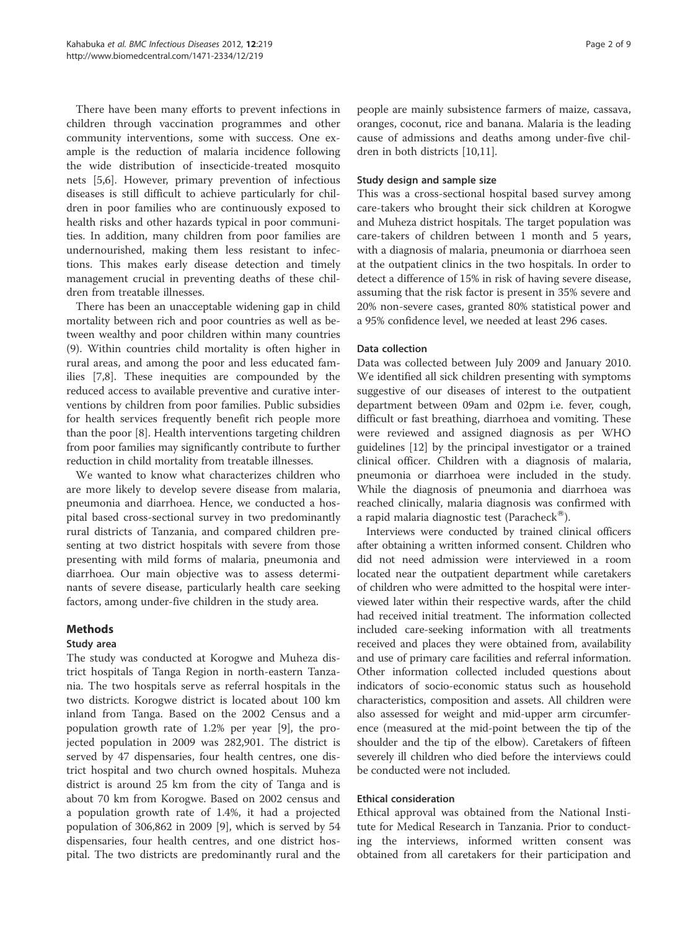There have been many efforts to prevent infections in children through vaccination programmes and other community interventions, some with success. One example is the reduction of malaria incidence following the wide distribution of insecticide-treated mosquito nets [5,6]. However, primary prevention of infectious diseases is still difficult to achieve particularly for children in poor families who are continuously exposed to health risks and other hazards typical in poor communities. In addition, many children from poor families are undernourished, making them less resistant to infections. This makes early disease detection and timely management crucial in preventing deaths of these children from treatable illnesses.

There has been an unacceptable widening gap in child mortality between rich and poor countries as well as between wealthy and poor children within many countries (9). Within countries child mortality is often higher in rural areas, and among the poor and less educated families [7,8]. These inequities are compounded by the reduced access to available preventive and curative interventions by children from poor families. Public subsidies for health services frequently benefit rich people more than the poor [8]. Health interventions targeting children from poor families may significantly contribute to further reduction in child mortality from treatable illnesses.

We wanted to know what characterizes children who are more likely to develop severe disease from malaria, pneumonia and diarrhoea. Hence, we conducted a hospital based cross-sectional survey in two predominantly rural districts of Tanzania, and compared children presenting at two district hospitals with severe from those presenting with mild forms of malaria, pneumonia and diarrhoea. Our main objective was to assess determinants of severe disease, particularly health care seeking factors, among under-five children in the study area.

# Methods

# Study area

The study was conducted at Korogwe and Muheza district hospitals of Tanga Region in north-eastern Tanzania. The two hospitals serve as referral hospitals in the two districts. Korogwe district is located about 100 km inland from Tanga. Based on the 2002 Census and a population growth rate of 1.2% per year [9], the projected population in 2009 was 282,901. The district is served by 47 dispensaries, four health centres, one district hospital and two church owned hospitals. Muheza district is around 25 km from the city of Tanga and is about 70 km from Korogwe. Based on 2002 census and a population growth rate of 1.4%, it had a projected population of 306,862 in 2009 [9], which is served by 54 dispensaries, four health centres, and one district hospital. The two districts are predominantly rural and the people are mainly subsistence farmers of maize, cassava, oranges, coconut, rice and banana. Malaria is the leading cause of admissions and deaths among under-five children in both districts [10,11].

#### Study design and sample size

This was a cross-sectional hospital based survey among care-takers who brought their sick children at Korogwe and Muheza district hospitals. The target population was care-takers of children between 1 month and 5 years, with a diagnosis of malaria, pneumonia or diarrhoea seen at the outpatient clinics in the two hospitals. In order to detect a difference of 15% in risk of having severe disease, assuming that the risk factor is present in 35% severe and 20% non-severe cases, granted 80% statistical power and a 95% confidence level, we needed at least 296 cases.

### Data collection

Data was collected between July 2009 and January 2010. We identified all sick children presenting with symptoms suggestive of our diseases of interest to the outpatient department between 09am and 02pm i.e. fever, cough, difficult or fast breathing, diarrhoea and vomiting. These were reviewed and assigned diagnosis as per WHO guidelines [12] by the principal investigator or a trained clinical officer. Children with a diagnosis of malaria, pneumonia or diarrhoea were included in the study. While the diagnosis of pneumonia and diarrhoea was reached clinically, malaria diagnosis was confirmed with a rapid malaria diagnostic test (Paracheck<sup>®</sup>).

Interviews were conducted by trained clinical officers after obtaining a written informed consent. Children who did not need admission were interviewed in a room located near the outpatient department while caretakers of children who were admitted to the hospital were interviewed later within their respective wards, after the child had received initial treatment. The information collected included care-seeking information with all treatments received and places they were obtained from, availability and use of primary care facilities and referral information. Other information collected included questions about indicators of socio-economic status such as household characteristics, composition and assets. All children were also assessed for weight and mid-upper arm circumference (measured at the mid-point between the tip of the shoulder and the tip of the elbow). Caretakers of fifteen severely ill children who died before the interviews could be conducted were not included.

#### Ethical consideration

Ethical approval was obtained from the National Institute for Medical Research in Tanzania. Prior to conducting the interviews, informed written consent was obtained from all caretakers for their participation and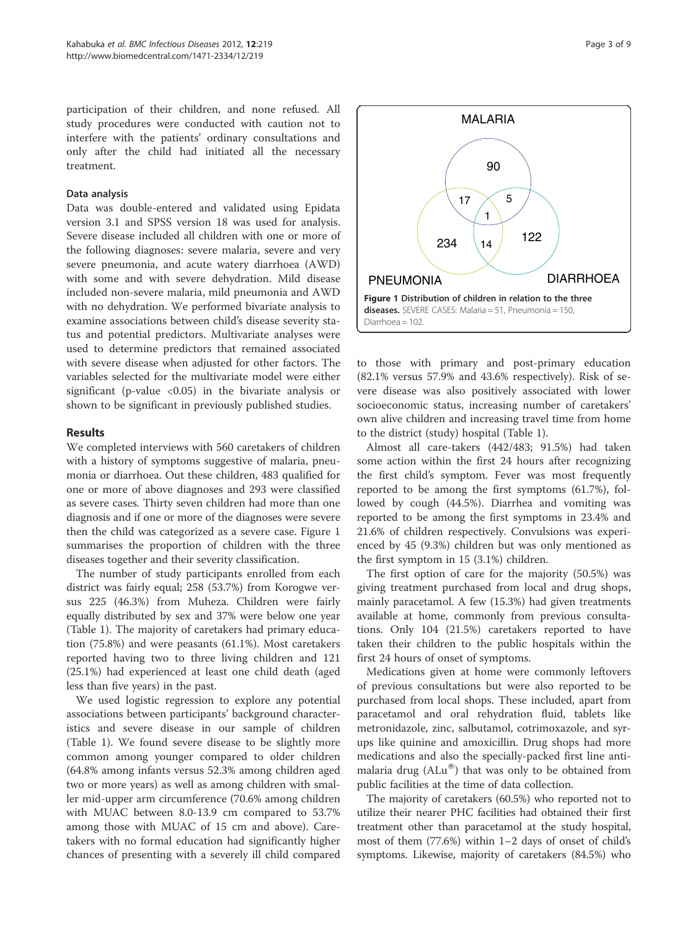participation of their children, and none refused. All study procedures were conducted with caution not to interfere with the patients' ordinary consultations and only after the child had initiated all the necessary treatment.

#### Data analysis

Data was double-entered and validated using Epidata version 3.1 and SPSS version 18 was used for analysis. Severe disease included all children with one or more of the following diagnoses: severe malaria, severe and very severe pneumonia, and acute watery diarrhoea (AWD) with some and with severe dehydration. Mild disease included non-severe malaria, mild pneumonia and AWD with no dehydration. We performed bivariate analysis to examine associations between child's disease severity status and potential predictors. Multivariate analyses were used to determine predictors that remained associated with severe disease when adjusted for other factors. The variables selected for the multivariate model were either significant (p-value  $\langle 0.05 \rangle$ ) in the bivariate analysis or shown to be significant in previously published studies.

#### Results

We completed interviews with 560 caretakers of children with a history of symptoms suggestive of malaria, pneumonia or diarrhoea. Out these children, 483 qualified for one or more of above diagnoses and 293 were classified as severe cases. Thirty seven children had more than one diagnosis and if one or more of the diagnoses were severe then the child was categorized as a severe case. Figure 1 summarises the proportion of children with the three diseases together and their severity classification.

The number of study participants enrolled from each district was fairly equal; 258 (53.7%) from Korogwe versus 225 (46.3%) from Muheza. Children were fairly equally distributed by sex and 37% were below one year (Table 1). The majority of caretakers had primary education (75.8%) and were peasants (61.1%). Most caretakers reported having two to three living children and 121 (25.1%) had experienced at least one child death (aged less than five years) in the past.

We used logistic regression to explore any potential associations between participants' background characteristics and severe disease in our sample of children (Table 1). We found severe disease to be slightly more common among younger compared to older children (64.8% among infants versus 52.3% among children aged two or more years) as well as among children with smaller mid-upper arm circumference (70.6% among children with MUAC between 8.0-13.9 cm compared to 53.7% among those with MUAC of 15 cm and above). Caretakers with no formal education had significantly higher chances of presenting with a severely ill child compared



to those with primary and post-primary education (82.1% versus 57.9% and 43.6% respectively). Risk of severe disease was also positively associated with lower socioeconomic status, increasing number of caretakers' own alive children and increasing travel time from home to the district (study) hospital (Table 1).

Almost all care-takers (442/483; 91.5%) had taken some action within the first 24 hours after recognizing the first child's symptom. Fever was most frequently reported to be among the first symptoms (61.7%), followed by cough (44.5%). Diarrhea and vomiting was reported to be among the first symptoms in 23.4% and 21.6% of children respectively. Convulsions was experienced by 45 (9.3%) children but was only mentioned as the first symptom in 15 (3.1%) children.

The first option of care for the majority (50.5%) was giving treatment purchased from local and drug shops, mainly paracetamol. A few (15.3%) had given treatments available at home, commonly from previous consultations. Only 104 (21.5%) caretakers reported to have taken their children to the public hospitals within the first 24 hours of onset of symptoms.

Medications given at home were commonly leftovers of previous consultations but were also reported to be purchased from local shops. These included, apart from paracetamol and oral rehydration fluid, tablets like metronidazole, zinc, salbutamol, cotrimoxazole, and syrups like quinine and amoxicillin. Drug shops had more medications and also the specially-packed first line antimalaria drug  $(ALu^{\omega})$  that was only to be obtained from public facilities at the time of data collection.

The majority of caretakers (60.5%) who reported not to utilize their nearer PHC facilities had obtained their first treatment other than paracetamol at the study hospital, most of them (77.6%) within 1–2 days of onset of child's symptoms. Likewise, majority of caretakers (84.5%) who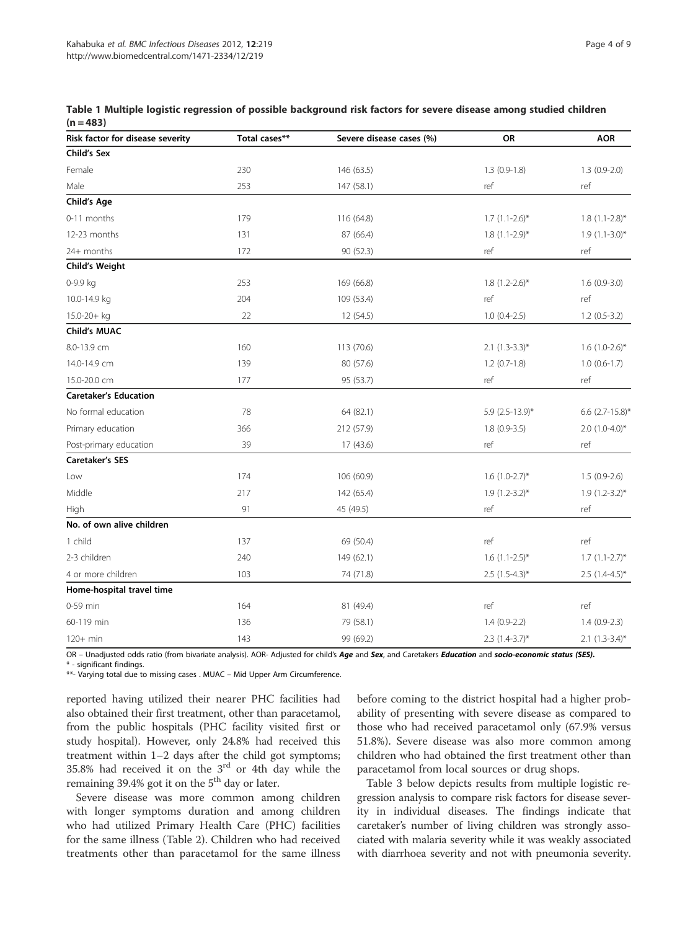| Risk factor for disease severity | Total cases** | Severe disease cases (%)     | OR                    | <b>AOR</b>           |
|----------------------------------|---------------|------------------------------|-----------------------|----------------------|
| Child's Sex                      |               |                              |                       |                      |
| Female                           | 230           | 146 (63.5)<br>$1.3(0.9-1.8)$ |                       | $1.3(0.9-2.0)$       |
| Male                             | 253           | 147 (58.1)                   | ref                   | ref                  |
| Child's Age                      |               |                              |                       |                      |
| 0-11 months                      | 179           | 116 (64.8)                   | $1.7(1.1-2.6)$ *      | $1.8$ (1.1-2.8)*     |
| 12-23 months                     | 131           | 87 (66.4)                    | $1.8$ $(1.1-2.9)$ *   | $1.9(1.1-3.0)$ *     |
| 24+ months                       | 172           | 90 (52.3)                    | ref                   | ref                  |
| <b>Child's Weight</b>            |               |                              |                       |                      |
| 0-9.9 kg                         | 253           | 169 (66.8)                   | $1.8$ $(1.2 - 2.6)$ * | $1.6(0.9-3.0)$       |
| 10.0-14.9 kg                     | 204           | 109 (53.4)                   | ref                   | ref                  |
| 15.0-20+ kg                      | 22            | 12 (54.5)                    | $1.0(0.4-2.5)$        | $1.2(0.5-3.2)$       |
| <b>Child's MUAC</b>              |               |                              |                       |                      |
| 8.0-13.9 cm                      | 160           | 113 (70.6)                   | $2.1$ $(1.3-3.3)*$    | $1.6$ $(1.0-2.6)$ *  |
| 14.0-14.9 cm                     | 139           | 80 (57.6)                    | $1.2(0.7-1.8)$        | $1.0(0.6-1.7)$       |
| 15.0-20.0 cm                     | 177           | 95 (53.7)                    | ref                   | ref                  |
| <b>Caretaker's Education</b>     |               |                              |                       |                      |
| No formal education              | 78            | 64 (82.1)                    | 5.9 (2.5-13.9)*       | 6.6 $(2.7 - 15.8)^*$ |
| Primary education                | 366           | 212 (57.9)                   | $1.8(0.9-3.5)$        | $2.0 (1.0 - 4.0)^*$  |
| Post-primary education           | 39            | 17 (43.6)                    | ref                   | ref                  |
| Caretaker's SES                  |               |                              |                       |                      |
| Low                              | 174           | 106 (60.9)                   | $1.6(1.0-2.7)^{*}$    | $1.5(0.9-2.6)$       |
| Middle                           | 217           | 142 (65.4)                   | $1.9$ $(1.2-3.2)$ *   | $1.9(1.2-3.2)$ *     |
| High                             | 91            | 45 (49.5)                    | ref                   | ref                  |
| No. of own alive children        |               |                              |                       |                      |
| 1 child                          | 137           | 69 (50.4)                    | ref                   | ref                  |
| 2-3 children                     | 240           | 149 (62.1)                   | $1.6$ $(1.1-2.5)$ *   | $1.7$ $(1.1-2.7)$ *  |
| 4 or more children               | 103           | 74 (71.8)                    | $2.5(1.5-4.3)^{*}$    | $2.5$ $(1.4-4.5)$ *  |
| Home-hospital travel time        |               |                              |                       |                      |
| 0-59 min                         | 164           | 81 (49.4)                    | ref                   | ref                  |
| 60-119 min                       | 136           | 79 (58.1)                    | $1.4(0.9-2.2)$        | $1.4(0.9-2.3)$       |
| $120+ min$                       | 143           | 99 (69.2)                    | $2.3$ $(1.4-3.7)$ *   | $2.1 (1.3 - 3.4)^*$  |

Table 1 Multiple logistic regression of possible background risk factors for severe disease among studied children  $(n = 483)$ 

OR - Unadjusted odds ratio (from bivariate analysis). AOR- Adjusted for child's Age and Sex, and Caretakers Education and socio-economic status (SES).

 $*$  - significant findings.

\*\*- Varying total due to missing cases . MUAC – Mid Upper Arm Circumference.

reported having utilized their nearer PHC facilities had also obtained their first treatment, other than paracetamol, from the public hospitals (PHC facility visited first or study hospital). However, only 24.8% had received this treatment within 1–2 days after the child got symptoms; 35.8% had received it on the 3rd or 4th day while the remaining 39.4% got it on the  $5<sup>th</sup>$  day or later.

Severe disease was more common among children with longer symptoms duration and among children who had utilized Primary Health Care (PHC) facilities for the same illness (Table 2). Children who had received treatments other than paracetamol for the same illness

before coming to the district hospital had a higher probability of presenting with severe disease as compared to those who had received paracetamol only (67.9% versus 51.8%). Severe disease was also more common among children who had obtained the first treatment other than paracetamol from local sources or drug shops.

Table 3 below depicts results from multiple logistic regression analysis to compare risk factors for disease severity in individual diseases. The findings indicate that caretaker's number of living children was strongly associated with malaria severity while it was weakly associated with diarrhoea severity and not with pneumonia severity.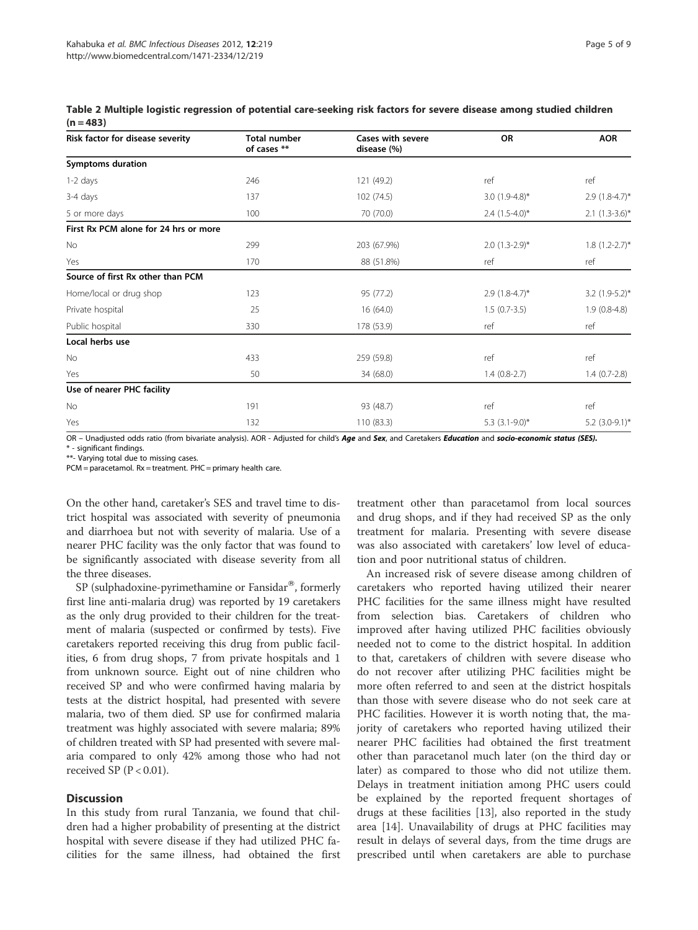| Risk factor for disease severity      | <b>Total number</b><br>of cases ** | Cases with severe<br>disease (%) | <b>OR</b>         | <b>AOR</b>            |
|---------------------------------------|------------------------------------|----------------------------------|-------------------|-----------------------|
| <b>Symptoms duration</b>              |                                    |                                  |                   |                       |
| $1-2$ days                            | 246                                | 121 (49.2)                       | ref               | ref                   |
| 3-4 days                              | 137                                | 102 (74.5)                       | 3.0 $(1.9-4.8)$ * | $2.9(1.8-4.7)$ *      |
| 5 or more days                        | 100                                | 70 (70.0)                        | $2.4(1.5-4.0)$ *  | $2.1$ (1.3-3.6)*      |
| First Rx PCM alone for 24 hrs or more |                                    |                                  |                   |                       |
| <b>No</b>                             | 299                                | 203 (67.9%)                      | $2.0$ (1.3-2.9)*  | $1.8$ $(1.2 - 2.7)$ * |
| Yes                                   | 170                                | 88 (51.8%)                       | ref               | ref                   |
| Source of first Rx other than PCM     |                                    |                                  |                   |                       |
| Home/local or drug shop               | 123                                | 95 (77.2)                        | $2.9(1.8-4.7)$ *  | $3.2$ (1.9-5.2)*      |
| Private hospital                      | 25                                 | 16(64.0)                         | $1.5(0.7-3.5)$    | $1.9(0.8-4.8)$        |
| Public hospital                       | 330                                | 178 (53.9)                       | ref               | ref                   |
| Local herbs use                       |                                    |                                  |                   |                       |
| <b>No</b>                             | 433                                | 259 (59.8)                       | ref               | ref                   |
| Yes                                   | 50                                 | 34 (68.0)                        | $1.4(0.8-2.7)$    | $1.4(0.7-2.8)$        |
| Use of nearer PHC facility            |                                    |                                  |                   |                       |
| <b>No</b>                             | 191                                | 93 (48.7)                        | ref               | ref                   |
| Yes                                   | 132                                | 110 (83.3)                       | 5.3 $(3.1-9.0)$ * | 5.2 $(3.0-9.1)$ *     |

Table 2 Multiple logistic regression of potential care-seeking risk factors for severe disease among studied children  $(n = 483)$ 

OR - Unadjusted odds ratio (from bivariate analysis). AOR - Adjusted for child's Age and Sex, and Caretakers Education and socio-economic status (SES).

\* - significant findings.

\*\*- Varying total due to missing cases.

PCM = paracetamol. Rx = treatment. PHC = primary health care.

On the other hand, caretaker's SES and travel time to district hospital was associated with severity of pneumonia and diarrhoea but not with severity of malaria. Use of a nearer PHC facility was the only factor that was found to be significantly associated with disease severity from all the three diseases.

SP (sulphadoxine-pyrimethamine or Fansidar®, formerly first line anti-malaria drug) was reported by 19 caretakers as the only drug provided to their children for the treatment of malaria (suspected or confirmed by tests). Five caretakers reported receiving this drug from public facilities, 6 from drug shops, 7 from private hospitals and 1 from unknown source. Eight out of nine children who received SP and who were confirmed having malaria by tests at the district hospital, had presented with severe malaria, two of them died. SP use for confirmed malaria treatment was highly associated with severe malaria; 89% of children treated with SP had presented with severe malaria compared to only 42% among those who had not received SP  $(P < 0.01)$ .

#### **Discussion**

In this study from rural Tanzania, we found that children had a higher probability of presenting at the district hospital with severe disease if they had utilized PHC facilities for the same illness, had obtained the first treatment other than paracetamol from local sources and drug shops, and if they had received SP as the only treatment for malaria. Presenting with severe disease was also associated with caretakers' low level of education and poor nutritional status of children.

An increased risk of severe disease among children of caretakers who reported having utilized their nearer PHC facilities for the same illness might have resulted from selection bias. Caretakers of children who improved after having utilized PHC facilities obviously needed not to come to the district hospital. In addition to that, caretakers of children with severe disease who do not recover after utilizing PHC facilities might be more often referred to and seen at the district hospitals than those with severe disease who do not seek care at PHC facilities. However it is worth noting that, the majority of caretakers who reported having utilized their nearer PHC facilities had obtained the first treatment other than paracetanol much later (on the third day or later) as compared to those who did not utilize them. Delays in treatment initiation among PHC users could be explained by the reported frequent shortages of drugs at these facilities [13], also reported in the study area [14]. Unavailability of drugs at PHC facilities may result in delays of several days, from the time drugs are prescribed until when caretakers are able to purchase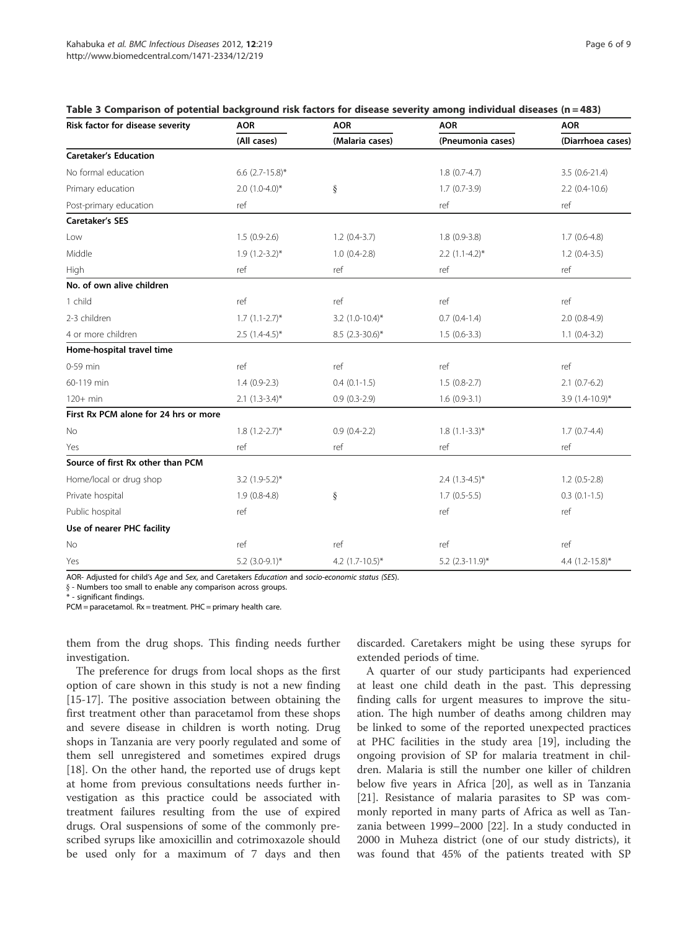| Risk factor for disease severity      | <b>AOR</b><br>(All cases) | <b>AOR</b><br>(Malaria cases) | <b>AOR</b>         | <b>AOR</b><br>(Diarrhoea cases) |
|---------------------------------------|---------------------------|-------------------------------|--------------------|---------------------------------|
|                                       |                           |                               | (Pneumonia cases)  |                                 |
| <b>Caretaker's Education</b>          |                           |                               |                    |                                 |
| No formal education                   | 6.6 $(2.7 - 15.8)^*$      |                               | $1.8(0.7-4.7)$     | $3.5(0.6-21.4)$                 |
| Primary education                     | $2.0(1.0-4.0)$ *          | ş                             | $1.7(0.7-3.9)$     | $2.2$ (0.4-10.6)                |
| Post-primary education                | ref                       |                               | ref                | ref                             |
| <b>Caretaker's SES</b>                |                           |                               |                    |                                 |
| Low                                   | $1.5(0.9-2.6)$            | $1.2(0.4-3.7)$                | $1.8(0.9-3.8)$     | $1.7(0.6-4.8)$                  |
| Middle                                | $1.9(1.2-3.2)^{*}$        | $1.0(0.4-2.8)$                | $2.2$ (1.1-4.2)*   | $1.2(0.4-3.5)$                  |
| High                                  | ref                       | ref                           | ref                | ref                             |
| No. of own alive children             |                           |                               |                    |                                 |
| 1 child                               | ref                       | ref                           | ref                | ref                             |
| 2-3 children                          | $1.7(1.1-2.7)$ *          | $3.2$ (1.0-10.4)*             | $0.7(0.4-1.4)$     | $2.0(0.8-4.9)$                  |
| 4 or more children                    | $2.5$ $(1.4-4.5)$ *       | $8.5$ (2.3-30.6)*             | $1.5(0.6-3.3)$     | $1.1(0.4-3.2)$                  |
| Home-hospital travel time             |                           |                               |                    |                                 |
| 0-59 min                              | ref                       | ref                           | ref                | ref                             |
| 60-119 min                            | $1.4(0.9-2.3)$            | $0.4(0.1-1.5)$                | $1.5(0.8-2.7)$     | $2.1(0.7-6.2)$                  |
| $120+ min$                            | $2.1 (1.3 - 3.4)^*$       | $0.9(0.3-2.9)$                | $1.6(0.9-3.1)$     | 3.9 (1.4-10.9)*                 |
| First Rx PCM alone for 24 hrs or more |                           |                               |                    |                                 |
| No                                    | $1.8$ $(1.2 - 2.7)$ *     | $0.9(0.4-2.2)$                | $1.8(1.1-3.3)^{*}$ | $1.7(0.7-4.4)$                  |
| Yes                                   | ref                       | ref                           | ref                | ref                             |
| Source of first Rx other than PCM     |                           |                               |                    |                                 |
| Home/local or drug shop               | $3.2$ (1.9-5.2)*          |                               | $2.4$ (1.3-4.5)*   | $1.2(0.5-2.8)$                  |
| Private hospital                      | $1.9(0.8-4.8)$            | ş                             | $1.7(0.5-5.5)$     | $0.3(0.1-1.5)$                  |
| Public hospital                       | ref                       |                               | ref                | ref                             |
| Use of nearer PHC facility            |                           |                               |                    |                                 |
| No                                    | ref                       | ref                           | ref                | ref                             |
| Yes                                   | $5.2$ (3.0-9.1)*          | 4.2 $(1.7-10.5)$ *            | $5.2$ (2.3-11.9)*  | 4.4 $(1.2 - 15.8)^*$            |

#### Table 3 Comparison of potential background risk factors for disease severity among individual diseases (n = 483)

AOR- Adjusted for child's Age and Sex, and Caretakers Education and socio-economic status (SES).

} - Numbers too small to enable any comparison across groups.

\* - significant findings.

PCM = paracetamol. Rx = treatment. PHC = primary health care.

them from the drug shops. This finding needs further investigation.

The preference for drugs from local shops as the first option of care shown in this study is not a new finding [15-17]. The positive association between obtaining the first treatment other than paracetamol from these shops and severe disease in children is worth noting. Drug shops in Tanzania are very poorly regulated and some of them sell unregistered and sometimes expired drugs [18]. On the other hand, the reported use of drugs kept at home from previous consultations needs further investigation as this practice could be associated with treatment failures resulting from the use of expired drugs. Oral suspensions of some of the commonly prescribed syrups like amoxicillin and cotrimoxazole should be used only for a maximum of 7 days and then

discarded. Caretakers might be using these syrups for extended periods of time.

A quarter of our study participants had experienced at least one child death in the past. This depressing finding calls for urgent measures to improve the situation. The high number of deaths among children may be linked to some of the reported unexpected practices at PHC facilities in the study area [19], including the ongoing provision of SP for malaria treatment in children. Malaria is still the number one killer of children below five years in Africa [20], as well as in Tanzania [21]. Resistance of malaria parasites to SP was commonly reported in many parts of Africa as well as Tanzania between 1999–2000 [22]. In a study conducted in 2000 in Muheza district (one of our study districts), it was found that 45% of the patients treated with SP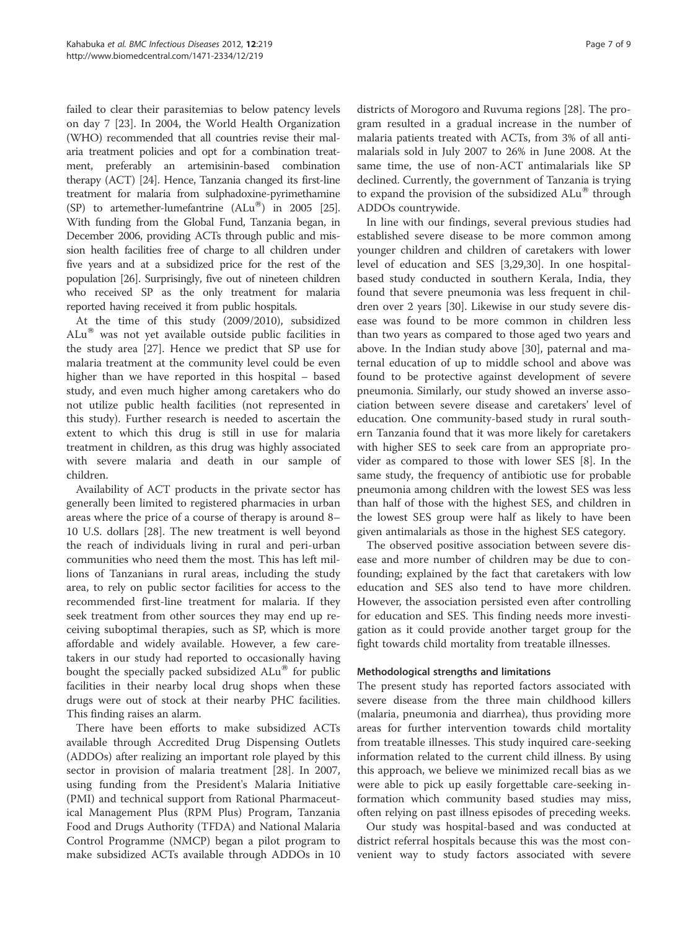failed to clear their parasitemias to below patency levels on day 7 [23]. In 2004, the World Health Organization (WHO) recommended that all countries revise their malaria treatment policies and opt for a combination treatment, preferably an artemisinin-based combination therapy (ACT) [24]. Hence, Tanzania changed its first-line treatment for malaria from sulphadoxine-pyrimethamine (SP) to artemether-lumefantrine  $(ALu^{\otimes})$  in 2005 [25]. With funding from the Global Fund, Tanzania began, in December 2006, providing ACTs through public and mission health facilities free of charge to all children under five years and at a subsidized price for the rest of the population [26]. Surprisingly, five out of nineteen children who received SP as the only treatment for malaria reported having received it from public hospitals.

At the time of this study (2009/2010), subsidized  $ALu^®$  was not yet available outside public facilities in the study area [27]. Hence we predict that SP use for malaria treatment at the community level could be even higher than we have reported in this hospital – based study, and even much higher among caretakers who do not utilize public health facilities (not represented in this study). Further research is needed to ascertain the extent to which this drug is still in use for malaria treatment in children, as this drug was highly associated with severe malaria and death in our sample of children.

Availability of ACT products in the private sector has generally been limited to registered pharmacies in urban areas where the price of a course of therapy is around 8– 10 U.S. dollars [28]. The new treatment is well beyond the reach of individuals living in rural and peri-urban communities who need them the most. This has left millions of Tanzanians in rural areas, including the study area, to rely on public sector facilities for access to the recommended first-line treatment for malaria. If they seek treatment from other sources they may end up receiving suboptimal therapies, such as SP, which is more affordable and widely available. However, a few caretakers in our study had reported to occasionally having bought the specially packed subsidized  $ALu^{\omega}$  for public facilities in their nearby local drug shops when these drugs were out of stock at their nearby PHC facilities. This finding raises an alarm.

There have been efforts to make subsidized ACTs available through Accredited Drug Dispensing Outlets (ADDOs) after realizing an important role played by this sector in provision of malaria treatment [28]. In 2007, using funding from the President's Malaria Initiative (PMI) and technical support from Rational Pharmaceutical Management Plus (RPM Plus) Program, Tanzania Food and Drugs Authority (TFDA) and National Malaria Control Programme (NMCP) began a pilot program to make subsidized ACTs available through ADDOs in 10 districts of Morogoro and Ruvuma regions [28]. The program resulted in a gradual increase in the number of malaria patients treated with ACTs, from 3% of all antimalarials sold in July 2007 to 26% in June 2008. At the same time, the use of non-ACT antimalarials like SP declined. Currently, the government of Tanzania is trying to expand the provision of the subsidized ALu® through ADDOs countrywide.

In line with our findings, several previous studies had established severe disease to be more common among younger children and children of caretakers with lower level of education and SES [3,29,30]. In one hospitalbased study conducted in southern Kerala, India, they found that severe pneumonia was less frequent in children over 2 years [30]. Likewise in our study severe disease was found to be more common in children less than two years as compared to those aged two years and above. In the Indian study above [30], paternal and maternal education of up to middle school and above was found to be protective against development of severe pneumonia. Similarly, our study showed an inverse association between severe disease and caretakers' level of education. One community-based study in rural southern Tanzania found that it was more likely for caretakers with higher SES to seek care from an appropriate provider as compared to those with lower SES [8]. In the same study, the frequency of antibiotic use for probable pneumonia among children with the lowest SES was less than half of those with the highest SES, and children in the lowest SES group were half as likely to have been given antimalarials as those in the highest SES category.

The observed positive association between severe disease and more number of children may be due to confounding; explained by the fact that caretakers with low education and SES also tend to have more children. However, the association persisted even after controlling for education and SES. This finding needs more investigation as it could provide another target group for the fight towards child mortality from treatable illnesses.

#### Methodological strengths and limitations

The present study has reported factors associated with severe disease from the three main childhood killers (malaria, pneumonia and diarrhea), thus providing more areas for further intervention towards child mortality from treatable illnesses. This study inquired care-seeking information related to the current child illness. By using this approach, we believe we minimized recall bias as we were able to pick up easily forgettable care-seeking information which community based studies may miss, often relying on past illness episodes of preceding weeks.

Our study was hospital-based and was conducted at district referral hospitals because this was the most convenient way to study factors associated with severe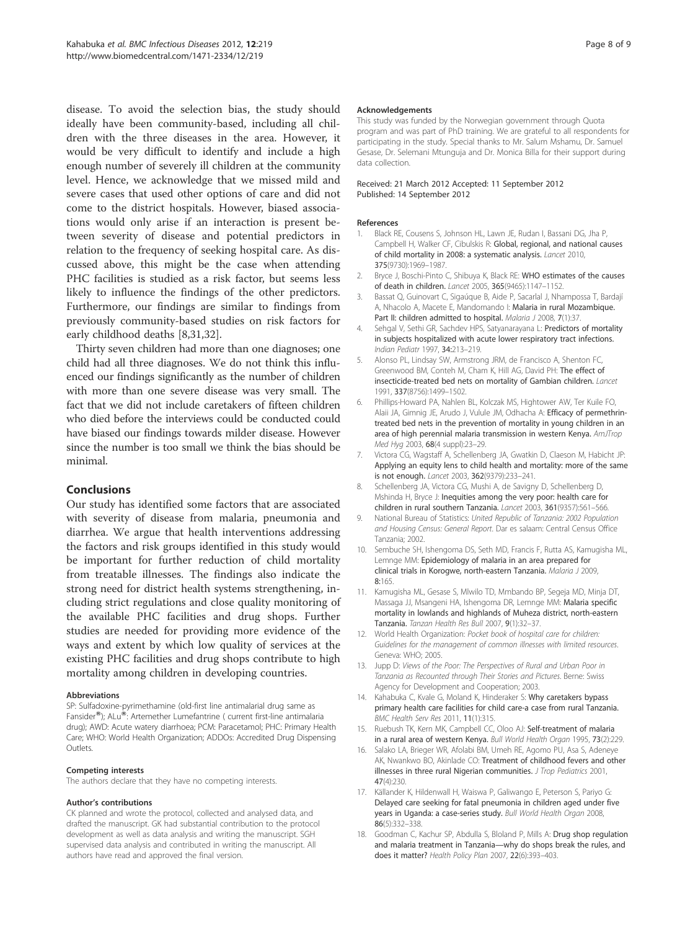disease. To avoid the selection bias, the study should ideally have been community-based, including all children with the three diseases in the area. However, it would be very difficult to identify and include a high enough number of severely ill children at the community level. Hence, we acknowledge that we missed mild and severe cases that used other options of care and did not come to the district hospitals. However, biased associations would only arise if an interaction is present between severity of disease and potential predictors in relation to the frequency of seeking hospital care. As discussed above, this might be the case when attending PHC facilities is studied as a risk factor, but seems less likely to influence the findings of the other predictors. Furthermore, our findings are similar to findings from previously community-based studies on risk factors for early childhood deaths [8,31,32].

Thirty seven children had more than one diagnoses; one child had all three diagnoses. We do not think this influenced our findings significantly as the number of children with more than one severe disease was very small. The fact that we did not include caretakers of fifteen children who died before the interviews could be conducted could have biased our findings towards milder disease. However since the number is too small we think the bias should be minimal.

#### **Conclusions**

Our study has identified some factors that are associated with severity of disease from malaria, pneumonia and diarrhea. We argue that health interventions addressing the factors and risk groups identified in this study would be important for further reduction of child mortality from treatable illnesses. The findings also indicate the strong need for district health systems strengthening, including strict regulations and close quality monitoring of the available PHC facilities and drug shops. Further studies are needed for providing more evidence of the ways and extent by which low quality of services at the existing PHC facilities and drug shops contribute to high mortality among children in developing countries.

#### Abbreviations

SP: Sulfadoxine-pyrimethamine (old-first line antimalarial drug same as Fansider®); ALu®: Artemether Lumefantrine ( current first-line antimalaria drug); AWD: Acute watery diarrhoea; PCM: Paracetamol; PHC: Primary Health Care; WHO: World Health Organization; ADDOs: Accredited Drug Dispensing Outlets.

#### Competing interests

The authors declare that they have no competing interests.

#### Author's contributions

CK planned and wrote the protocol, collected and analysed data, and drafted the manuscript. GK had substantial contribution to the protocol development as well as data analysis and writing the manuscript. SGH supervised data analysis and contributed in writing the manuscript. All authors have read and approved the final version.

#### Acknowledgements

This study was funded by the Norwegian government through Quota program and was part of PhD training. We are grateful to all respondents for participating in the study. Special thanks to Mr. Salum Mshamu, Dr. Samuel Gesase, Dr. Selemani Mtunguja and Dr. Monica Billa for their support during data collection.

#### Received: 21 March 2012 Accepted: 11 September 2012 Published: 14 September 2012

#### References

- 1. Black RE, Cousens S, Johnson HL, Lawn JE, Rudan I, Bassani DG, Jha P, Campbell H, Walker CF, Cibulskis R: Global, regional, and national causes of child mortality in 2008: a systematic analysis. Lancet 2010, 375(9730):1969–1987.
- 2. Bryce J, Boschi-Pinto C, Shibuya K, Black RE: WHO estimates of the causes of death in children. *Lancet* 2005, 365(9465):1147-1152.
- 3. Bassat Q, Guinovart C, Sigaúque B, Aide P, Sacarlal J, Nhampossa T, Bardají A, Nhacolo A, Macete E, Mandomando I: Malaria in rural Mozambique. Part II: children admitted to hospital. Malaria J 2008, 7(1):37.
- 4. Sehgal V, Sethi GR, Sachdev HPS, Satyanarayana L: Predictors of mortality in subjects hospitalized with acute lower respiratory tract infections. Indian Pediatr 1997, 34:213–219.
- 5. Alonso PL, Lindsay SW, Armstrong JRM, de Francisco A, Shenton FC, Greenwood BM, Conteh M, Cham K, Hill AG, David PH: The effect of insecticide-treated bed nets on mortality of Gambian children. Lancet 1991, 337(8756):1499–1502.
- 6. Phillips-Howard PA, Nahlen BL, Kolczak MS, Hightower AW, Ter Kuile FO, Alaii JA, Gimnig JE, Arudo J, Vulule JM, Odhacha A: Efficacy of permethrintreated bed nets in the prevention of mortality in young children in an area of high perennial malaria transmission in western Kenya. AmJTrop Med Hyg 2003, 68(4 suppl):23–29.
- 7. Victora CG, Wagstaff A, Schellenberg JA, Gwatkin D, Claeson M, Habicht JP: Applying an equity lens to child health and mortality: more of the same is not enough. Lancet 2003, 362(9379):233–241.
- 8. Schellenberg JA, Victora CG, Mushi A, de Savigny D, Schellenberg D, Mshinda H, Bryce J: Inequities among the very poor: health care for children in rural southern Tanzania. Lancet 2003, 361(9357):561–566.
- 9. National Bureau of Statistics: United Republic of Tanzania: 2002 Population and Housing Census: General Report. Dar es salaam: Central Census Office Tanzania; 2002.
- 10. Sembuche SH, Ishengoma DS, Seth MD, Francis F, Rutta AS, Kamugisha ML, Lemnge MM: Epidemiology of malaria in an area prepared for clinical trials in Korogwe, north-eastern Tanzania. Malaria J 2009, 8:165.
- 11. Kamugisha ML, Gesase S, Mlwilo TD, Mmbando BP, Segeja MD, Minja DT, Massaga JJ, Msangeni HA, Ishengoma DR, Lemnge MM: Malaria specific mortality in lowlands and highlands of Muheza district, north-eastern Tanzania. Tanzan Health Res Bull 2007, 9(1):32–37.
- 12. World Health Organization: Pocket book of hospital care for children: Guidelines for the management of common illnesses with limited resources. Geneva: WHO; 2005.
- 13. Jupp D: Views of the Poor: The Perspectives of Rural and Urban Poor in Tanzania as Recounted through Their Stories and Pictures. Berne: Swiss Agency for Development and Cooperation; 2003.
- 14. Kahabuka C, Kvale G, Moland K, Hinderaker S: Why caretakers bypass primary health care facilities for child care-a case from rural Tanzania. BMC Health Serv Res 2011, 11(1):315.
- 15. Ruebush TK, Kern MK, Campbell CC, Oloo AJ: Self-treatment of malaria in a rural area of western Kenya. Bull World Health Organ 1995, 73(2):229.
- 16. Salako LA, Brieger WR, Afolabi BM, Umeh RE, Agomo PU, Asa S, Adeneye AK, Nwankwo BO, Akinlade CO: Treatment of childhood fevers and other illnesses in three rural Nigerian communities. J Trop Pediatrics 2001, 47(4):230.
- 17. Källander K, Hildenwall H, Waiswa P, Galiwango E, Peterson S, Pariyo G: Delayed care seeking for fatal pneumonia in children aged under five years in Uganda: a case-series study. Bull World Health Organ 2008, 86(5):332–338.
- 18. Goodman C, Kachur SP, Abdulla S, Bloland P, Mills A: Drug shop regulation and malaria treatment in Tanzania—why do shops break the rules, and does it matter? Health Policy Plan 2007, 22(6):393–403.